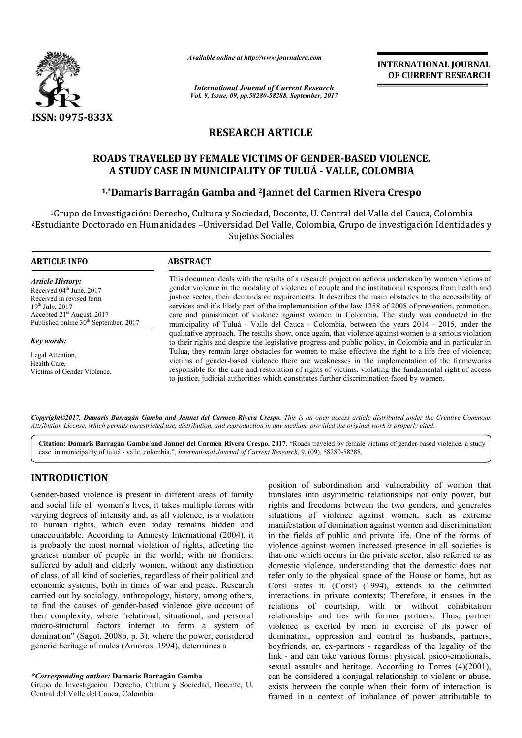

*Available online at http://www.journal http://www.journalcra.com*

*International Journal of Current Research Vol. 9, Issue, 09, pp.58280-58288, September, 2017* **INTERNATIONAL JOURNAL OF CURRENT RESEARCH** 

# **RESEARCH ARTICLE**

# **ROADS TRAVELED BY FEMALE VICTIMS OF GENDER GENDER-BASED VIOLENCE. A STUDY CASE IN MUNICIPALITY OF TULUÁ - VALLE, COLOMBIA 1,\*Damaris Barry Barry Barry Colombia A STUDY CASE IN MUNICIPALITY OF TULUÁ - VALLE, COLOMBIA<br>1,\*Damaris Barragán Gamba and <sup>2</sup>Jannet del Carmen Rivera Crespo**

<sup>1</sup>Grupo de Investigación: Derecho, Cultura y Sociedad, Docente, U. Central del Valle del Cauca, Colombia <sup>2</sup>Estudiante Doctorado en Humanidades -Universidad Del Valle, Colombia, Grupo de investigación Identidades y Sujetos Sociales

| <b>ARTICLE INFO</b>                                                                                                                                                                                                | <b>ABSTRACT</b>                                                                                                                                                                                                                                                                                                                                                                                                                                                                                                                                                                                                                                                                                                                                                                                                                                                                                                                                                                                                                                                                                                                                                                                                                                                       |
|--------------------------------------------------------------------------------------------------------------------------------------------------------------------------------------------------------------------|-----------------------------------------------------------------------------------------------------------------------------------------------------------------------------------------------------------------------------------------------------------------------------------------------------------------------------------------------------------------------------------------------------------------------------------------------------------------------------------------------------------------------------------------------------------------------------------------------------------------------------------------------------------------------------------------------------------------------------------------------------------------------------------------------------------------------------------------------------------------------------------------------------------------------------------------------------------------------------------------------------------------------------------------------------------------------------------------------------------------------------------------------------------------------------------------------------------------------------------------------------------------------|
| <b>Article History:</b><br>Received 04 <sup>th</sup> June, 2017<br>Received in revised form<br>$19^{th}$ July, 2017<br>Accepted 21 <sup>st</sup> August, 2017<br>Published online 30 <sup>th</sup> September, 2017 | This document deals with the results of a research project on actions undertaken by women victims of<br>gender violence in the modality of violence of couple and the institutional responses from health and<br>justice sector, their demands or requirements. It describes the main obstacles to the accessibility of<br>services and it's likely part of the implementation of the law 1258 of 2008 of prevention, promotion,<br>care and punishment of violence against women in Colombia. The study was conducted in the<br>municipality of Tuluá - Valle del Cauca - Colombia, between the years 2014 - 2015, under the<br>qualitative approach. The results show, once again, that violence against women is a serious violation<br>to their rights and despite the legislative progress and public policy, in Colombia and in particular in<br>Tulua, they remain large obstacles for women to make effective the right to a life free of violence;<br>victims of gender-based violence there are weaknesses in the implementation of the frameworks<br>responsible for the care and restoration of rights of victims, violating the fundamental right of access<br>to justice, judicial authorities which constitutes further discrimination faced by women. |
| Key words:                                                                                                                                                                                                         |                                                                                                                                                                                                                                                                                                                                                                                                                                                                                                                                                                                                                                                                                                                                                                                                                                                                                                                                                                                                                                                                                                                                                                                                                                                                       |
| Legal Attention,<br>Health Care,<br>Victims of Gender Violence.                                                                                                                                                    |                                                                                                                                                                                                                                                                                                                                                                                                                                                                                                                                                                                                                                                                                                                                                                                                                                                                                                                                                                                                                                                                                                                                                                                                                                                                       |

*Copyright©2017, Damaris Barragán Gamba and Jannet del Carmen Rivera Crespo Crespo. This is an open access article distributed under the Creative Commons Attribution License, which permits unrestricted use, distribution, and reproduction in any medium, provided the original work is properly cited. open any medium,* 

Citation: Damaris Barragán Gamba and Jannet del Carmen Rivera Crespo. 2017. "Roads traveled by female victims of gender-based violence. a study case in municipality of tuluá - valle, colombia.", *International Journal of Current Research* , 9, (09), 58280-58288.

## **INTRODUCTION**

Gender-based violence is present in different areas of family and social life of women`s lives, it takes multiple forms with varying degrees of intensity and, as all violence, is a violation to human rights, which even today remains hidden and unaccountable. According to Amnesty International (2004), it is probably the most normal violation of rights, affecting the greatest number of people in the world; with no frontiers: suffered by adult and elderly women, without any distinction of class, of all kind of societies, regardless of their political and economic systems, both in times of war and peace. Research carried out by sociology, anthropology, history, among others, to find the causes of gender-based violence give account of their complexity, where "relational, situational, and personal macro-structural factors interact to form a system of domination" (Sagot, 2008b, p. 3), where the power, considered generic heritage of males (Amoros, 1994), determines a based violence is present in<br>ial life of women's lives, it i<br>degrees of intensity and, as a<br>an rights, which even tod<br>mtable. According to Amness<br>bly the most normal violatic<br>number of people in the v<br>by adult and elderly

Grupo de Investigación: Derecho, Cultura y Sociedad, Docente, U. Central del Valle del Cauca, Colombia.

position of subordination and vulnerability of women that translates into asymmetric relationships not only power, but rights and freedoms between the two genders, and generates situations of violence against women, such as extreme manifestation of domination against women and discrimination in the fields of public and private life. One of the forms of violence against women increased presence in all societies is that one which occurs in the private sector, also referred to as domestic violence, understanding that the domestic does not refer only to the physical space of the House or home, but as that one which occurs in the private sector, also referred to as domestic violence, understanding that the domestic does not refer only to the physical space of the House or home, but as Corsi states it. (Corsi) (1994), ex interactions in private contexts; Therefore, it ensues in the relations of courtship, with or without cohabitation relationships and ties with former partners. Thus, partner violence is exerted by men in exercise of its power of domination, oppression and control as husbands, partners, boyfriends, or, ex-partners - regardless of the legality of the link - and can take various forms: physical, psico-emotionals, sexual assaults and heritage. According to Torres  $(4)(2001)$ , can be considered a conjugal rela be considered a conjugal relationship to violent or abuse, exists between the couple when their form of interaction is framed in a context of imbalance of power attributable to subordination and vulnerability of women that<br>to asymmetric relationships not only power, but<br>eedoms between the two genders, and generates<br>f violence against women, such as extreme<br>of domination against women and discrimi is in private contexts; Therefore, it ensues in the of courtship, with or without cohabitation ips and ties with former partners. Thus, partner is exerted by men in exercise of its power of n, oppression and control as hus **INTERNATIONAL JOURNAL CONSTRANT CONSTRANT CONSTRANT CONSTRANT CONSTRANT CONSTRANT CONSTRANT CONSTRANT CONSTRANT CONSTRANT CONSTRANT CONSTRANT CONSTRANT CONSTRANT (CONSTRANT) (CONSTRANT) (CONSTRANT) (CONSTRANT) (CONSTRANT** 

*<sup>\*</sup>Corresponding author:* **Damaris Barragán Gamb Gamba**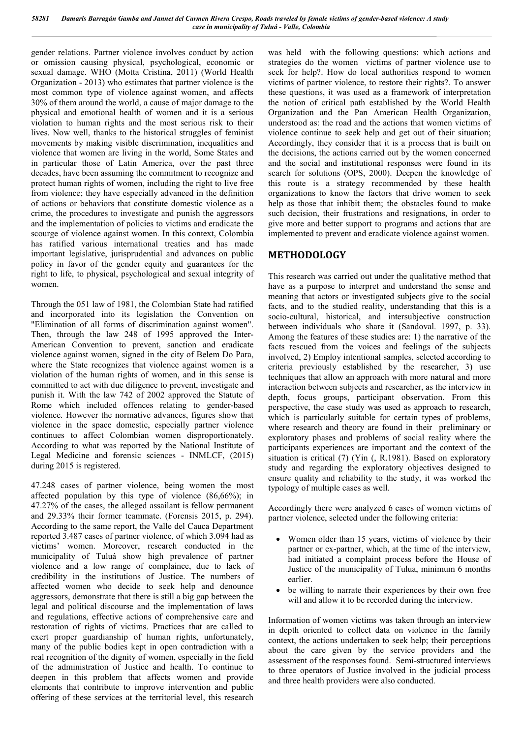gender relations. Partner violence involves conduct by action or omission causing physical, psychological, economic or sexual damage. WHO (Motta Cristina, 2011) (World Health Organization - 2013) who estimates that partner violence is the most common type of violence against women, and affects 30% of them around the world, a cause of major damage to the physical and emotional health of women and it is a serious violation to human rights and the most serious risk to their lives. Now well, thanks to the historical struggles of feminist movements by making visible discrimination, inequalities and violence that women are living in the world, Some States and in particular those of Latin America, over the past three decades, have been assuming the commitment to recognize and protect human rights of women, including the right to live free from violence; they have especially advanced in the definition of actions or behaviors that constitute domestic violence as a crime, the procedures to investigate and punish the aggressors and the implementation of policies to victims and eradicate the scourge of violence against women. In this context, Colombia has ratified various international treaties and has made important legislative, jurisprudential and advances on public policy in favor of the gender equity and guarantees for the right to life, to physical, psychological and sexual integrity of women.

Through the 051 law of 1981, the Colombian State had ratified and incorporated into its legislation the Convention on "Elimination of all forms of discrimination against women". Then, through the law 248 of 1995 approved the Inter-American Convention to prevent, sanction and eradicate violence against women, signed in the city of Belem Do Para, where the State recognizes that violence against women is a violation of the human rights of women, and in this sense is committed to act with due diligence to prevent, investigate and punish it. With the law 742 of 2002 approved the Statute of Rome which included offences relating to gender-based violence. However the normative advances, figures show that violence in the space domestic, especially partner violence continues to affect Colombian women disproportionately. According to what was reported by the National Institute of Legal Medicine and forensic sciences - INMLCF, (2015) during 2015 is registered.

47.248 cases of partner violence, being women the most affected population by this type of violence (86,66%); in 47.27% of the cases, the alleged assailant is fellow permanent and 29.33% their former teammate. (Forensis 2015, p. 294). According to the same report, the Valle del Cauca Department reported 3.487 cases of partner violence, of which 3.094 had as victims' women. Moreover, research conducted in the municipality of Tuluá show high prevalence of partner violence and a low range of complaince, due to lack of credibility in the institutions of Justice. The numbers of affected women who decide to seek help and denounce aggressors, demonstrate that there is still a big gap between the legal and political discourse and the implementation of laws and regulations, effective actions of comprehensive care and restoration of rights of victims. Practices that are called to exert proper guardianship of human rights, unfortunately, many of the public bodies kept in open contradiction with a real recognition of the dignity of women, especially in the field of the administration of Justice and health. To continue to deepen in this problem that affects women and provide elements that contribute to improve intervention and public offering of these services at the territorial level, this research

was held with the following questions: which actions and strategies do the women victims of partner violence use to seek for help?. How do local authorities respond to women victims of partner violence, to restore their rights?. To answer these questions, it was used as a framework of interpretation the notion of critical path established by the World Health Organization and the Pan American Health Organization, understood as: the road and the actions that women victims of violence continue to seek help and get out of their situation; Accordingly, they consider that it is a process that is built on the decisions, the actions carried out by the women concerned and the social and institutional responses were found in its search for solutions (OPS, 2000). Deepen the knowledge of this route is a strategy recommended by these health organizations to know the factors that drive women to seek help as those that inhibit them; the obstacles found to make such decision, their frustrations and resignations, in order to give more and better support to programs and actions that are implemented to prevent and eradicate violence against women.

### **METHODOLOGY**

This research was carried out under the qualitative method that have as a purpose to interpret and understand the sense and meaning that actors or investigated subjects give to the social facts, and to the studied reality, understanding that this is a socio-cultural, historical, and intersubjective construction between individuals who share it (Sandoval. 1997, p. 33). Among the features of these studies are: 1) the narrative of the facts rescued from the voices and feelings of the subjects involved, 2) Employ intentional samples, selected according to criteria previously established by the researcher, 3) use techniques that allow an approach with more natural and more interaction between subjects and researcher, as the interview in depth, focus groups, participant observation. From this perspective, the case study was used as approach to research, which is particularly suitable for certain types of problems, where research and theory are found in their preliminary or exploratory phases and problems of social reality where the participants experiences are important and the context of the situation is critical (7) (Yin (, R.1981). Based on exploratory study and regarding the exploratory objectives designed to ensure quality and reliability to the study, it was worked the typology of multiple cases as well.

Accordingly there were analyzed 6 cases of women victims of partner violence, selected under the following criteria:

- Women older than 15 years, victims of violence by their partner or ex-partner, which, at the time of the interview, had initiated a complaint process before the House of Justice of the municipality of Tulua, minimum 6 months earlier.
- be willing to narrate their experiences by their own free will and allow it to be recorded during the interview.

Information of women victims was taken through an interview in depth oriented to collect data on violence in the family context, the actions undertaken to seek help; their perceptions about the care given by the service providers and the assessment of the responses found. Semi-structured interviews to three operators of Justice involved in the judicial process and three health providers were also conducted.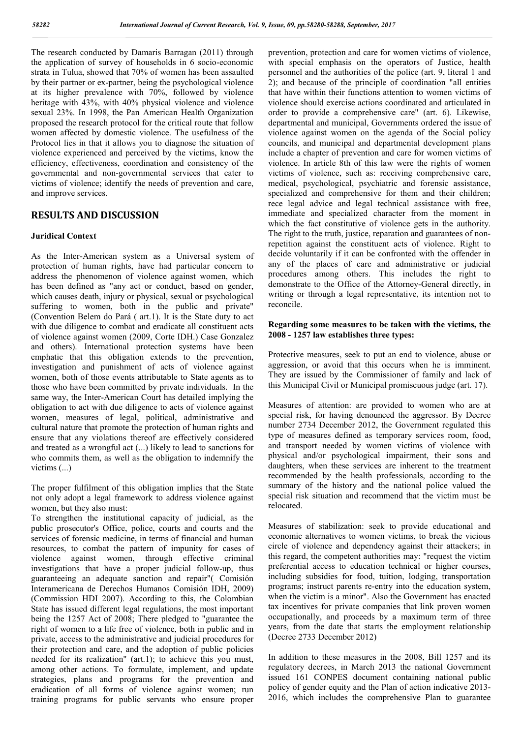The research conducted by Damaris Barragan (2011) through the application of survey of households in 6 socio-economic strata in Tulua, showed that 70% of women has been assaulted by their partner or ex-partner, being the psychological violence at its higher prevalence with 70%, followed by violence heritage with 43%, with 40% physical violence and violence sexual 23%. In 1998, the Pan American Health Organization proposed the research protocol for the critical route that follow women affected by domestic violence. The usefulness of the Protocol lies in that it allows you to diagnose the situation of violence experienced and perceived by the victims, know the efficiency, effectiveness, coordination and consistency of the governmental and non-governmental services that cater to victims of violence; identify the needs of prevention and care, and improve services.

#### **RESULTS AND DISCUSSION**

#### **Juridical Context**

As the Inter-American system as a Universal system of protection of human rights, have had particular concern to address the phenomenon of violence against women, which has been defined as "any act or conduct, based on gender, which causes death, injury or physical, sexual or psychological suffering to women, both in the public and private" (Convention Belem do Pará ( art.1). It is the State duty to act with due diligence to combat and eradicate all constituent acts of violence against women (2009, Corte IDH.) Case Gonzalez and others). International protection systems have been emphatic that this obligation extends to the prevention, investigation and punishment of acts of violence against women, both of those events attributable to State agents as to those who have been committed by private individuals. In the same way, the Inter-American Court has detailed implying the obligation to act with due diligence to acts of violence against women, measures of legal, political, administrative and cultural nature that promote the protection of human rights and ensure that any violations thereof are effectively considered and treated as a wrongful act (...) likely to lead to sanctions for who commits them, as well as the obligation to indemnify the victims (...)

The proper fulfilment of this obligation implies that the State not only adopt a legal framework to address violence against women, but they also must:

To strengthen the institutional capacity of judicial, as the public prosecutor's Office, police, courts and courts and the services of forensic medicine, in terms of financial and human resources, to combat the pattern of impunity for cases of violence against women, through effective criminal investigations that have a proper judicial follow-up, thus guaranteeing an adequate sanction and repair"( Comisión Interamericana de Derechos Humanos Comisión IDH, 2009) (Commission HDI 2007). According to this, the Colombian State has issued different legal regulations, the most important being the 1257 Act of 2008; There pledged to "guarantee the right of women to a life free of violence, both in public and in private, access to the administrative and judicial procedures for their protection and care, and the adoption of public policies needed for its realization" (art.1); to achieve this you must, among other actions. To formulate, implement, and update strategies, plans and programs for the prevention and eradication of all forms of violence against women; run training programs for public servants who ensure proper

prevention, protection and care for women victims of violence, with special emphasis on the operators of Justice, health personnel and the authorities of the police (art. 9, literal 1 and 2); and because of the principle of coordination "all entities that have within their functions attention to women victims of violence should exercise actions coordinated and articulated in order to provide a comprehensive care" (art. 6). Likewise, departmental and municipal, Governments ordered the issue of violence against women on the agenda of the Social policy councils, and municipal and departmental development plans include a chapter of prevention and care for women victims of violence. In article 8th of this law were the rights of women victims of violence, such as: receiving comprehensive care, medical, psychological, psychiatric and forensic assistance, specialized and comprehensive for them and their children; rece legal advice and legal technical assistance with free, immediate and specialized character from the moment in which the fact constitutive of violence gets in the authority. The right to the truth, justice, reparation and guarantees of nonrepetition against the constituent acts of violence. Right to decide voluntarily if it can be confronted with the offender in any of the places of care and administrative or judicial procedures among others. This includes the right to demonstrate to the Office of the Attorney-General directly, in writing or through a legal representative, its intention not to reconcile.

#### **Regarding some measures to be taken with the victims, the 2008 - 1257 law establishes three types:**

Protective measures, seek to put an end to violence, abuse or aggression, or avoid that this occurs when he is imminent. They are issued by the Commissioner of family and lack of this Municipal Civil or Municipal promiscuous judge (art. 17).

Measures of attention: are provided to women who are at special risk, for having denounced the aggressor. By Decree number 2734 December 2012, the Government regulated this type of measures defined as temporary services room, food, and transport needed by women victims of violence with physical and/or psychological impairment, their sons and daughters, when these services are inherent to the treatment recommended by the health professionals, according to the summary of the history and the national police valued the special risk situation and recommend that the victim must be relocated.

Measures of stabilization: seek to provide educational and economic alternatives to women victims, to break the vicious circle of violence and dependency against their attackers; in this regard, the competent authorities may: "request the victim preferential access to education technical or higher courses, including subsidies for food, tuition, lodging, transportation programs; instruct parents re-entry into the education system, when the victim is a minor". Also the Government has enacted tax incentives for private companies that link proven women occupationally, and proceeds by a maximum term of three years, from the date that starts the employment relationship (Decree 2733 December 2012)

In addition to these measures in the 2008, Bill 1257 and its regulatory decrees, in March 2013 the national Government issued 161 CONPES document containing national public policy of gender equity and the Plan of action indicative 2013- 2016, which includes the comprehensive Plan to guarantee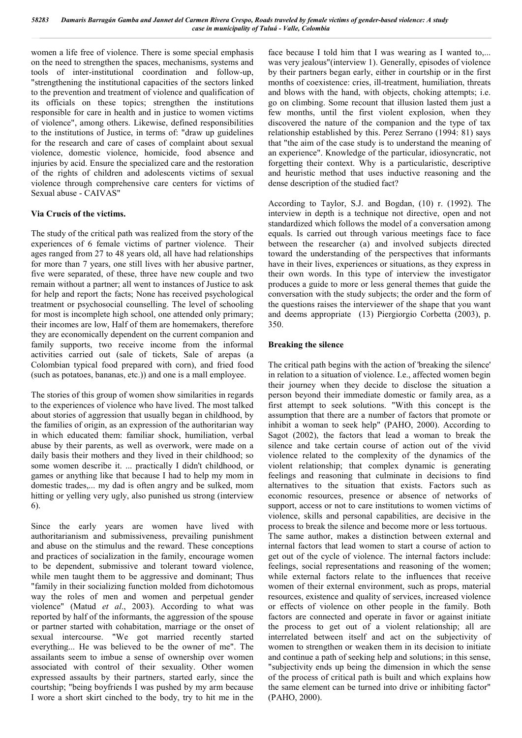women a life free of violence. There is some special emphasis on the need to strengthen the spaces, mechanisms, systems and tools of inter-institutional coordination and follow-up, "strengthening the institutional capacities of the sectors linked to the prevention and treatment of violence and qualification of its officials on these topics; strengthen the institutions responsible for care in health and in justice to women victims of violence", among others. Likewise, defined responsibilities to the institutions of Justice, in terms of: "draw up guidelines for the research and care of cases of complaint about sexual violence, domestic violence, homicide, food absence and injuries by acid. Ensure the specialized care and the restoration of the rights of children and adolescents victims of sexual violence through comprehensive care centers for victims of Sexual abuse - CAIVAS"

#### **Via Crucis of the victims.**

The study of the critical path was realized from the story of the experiences of 6 female victims of partner violence. Their ages ranged from 27 to 48 years old, all have had relationships for more than 7 years, one still lives with her abusive partner, five were separated, of these, three have new couple and two remain without a partner; all went to instances of Justice to ask for help and report the facts; None has received psychological treatment or psychosocial counselling. The level of schooling for most is incomplete high school, one attended only primary; their incomes are low, Half of them are homemakers, therefore they are economically dependent on the current companion and family supports, two receive income from the informal activities carried out (sale of tickets, Sale of arepas (a Colombian typical food prepared with corn), and fried food (such as potatoes, bananas, etc.)) and one is a mall employee.

The stories of this group of women show similarities in regards to the experiences of violence who have lived. The most talked about stories of aggression that usually began in childhood, by the families of origin, as an expression of the authoritarian way in which educated them: familiar shock, humiliation, verbal abuse by their parents, as well as overwork, were made on a daily basis their mothers and they lived in their childhood; so some women describe it. ... practically I didn't childhood, or games or anything like that because I had to help my mom in domestic trades,... my dad is often angry and be sulked, mom hitting or yelling very ugly, also punished us strong (interview 6).

Since the early years are women have lived with authoritarianism and submissiveness, prevailing punishment and abuse on the stimulus and the reward. These conceptions and practices of socialization in the family, encourage women to be dependent, submissive and tolerant toward violence, while men taught them to be aggressive and dominant; Thus "family in their socializing function molded from dichotomous way the roles of men and women and perpetual gender violence" (Matud *et al*., 2003). According to what was reported by half of the informants, the aggression of the spouse or partner started with cohabitation, marriage or the onset of sexual intercourse. "We got married recently started everything... He was believed to be the owner of me". The assailants seem to imbue a sense of ownership over women associated with control of their sexuality. Other women expressed assaults by their partners, started early, since the courtship; "being boyfriends I was pushed by my arm because I wore a short skirt cinched to the body, try to hit me in the

face because I told him that I was wearing as I wanted to,... was very jealous"(interview 1). Generally, episodes of violence by their partners began early, either in courtship or in the first months of coexistence: cries, ill-treatment, humiliation, threats and blows with the hand, with objects, choking attempts; i.e. go on climbing. Some recount that illusion lasted them just a few months, until the first violent explosion, when they discovered the nature of the companion and the type of tax relationship established by this. Perez Serrano (1994: 81) says that "the aim of the case study is to understand the meaning of an experience". Knowledge of the particular, idiosyncratic, not forgetting their context. Why is a particularistic, descriptive and heuristic method that uses inductive reasoning and the dense description of the studied fact?

According to Taylor, S.J. and Bogdan, (10) r. (1992). The interview in depth is a technique not directive, open and not standardized which follows the model of a conversation among equals. Is carried out through various meetings face to face between the researcher (a) and involved subjects directed toward the understanding of the perspectives that informants have in their lives, experiences or situations, as they express in their own words. In this type of interview the investigator produces a guide to more or less general themes that guide the conversation with the study subjects; the order and the form of the questions raises the interviewer of the shape that you want and deems appropriate (13) Piergiorgio Corbetta (2003), p. 350.

#### **Breaking the silence**

The critical path begins with the action of 'breaking the silence' in relation to a situation of violence. I.e., affected women begin their journey when they decide to disclose the situation a person beyond their immediate domestic or family area, as a first attempt to seek solutions. "With this concept is the assumption that there are a number of factors that promote or inhibit a woman to seek help" (PAHO, 2000). According to Sagot (2002), the factors that lead a woman to break the silence and take certain course of action out of the vivid violence related to the complexity of the dynamics of the violent relationship; that complex dynamic is generating feelings and reasoning that culminate in decisions to find alternatives to the situation that exists. Factors such as economic resources, presence or absence of networks of support, access or not to care institutions to women victims of violence, skills and personal capabilities, are decisive in the process to break the silence and become more or less tortuous. The same author, makes a distinction between external and

internal factors that lead women to start a course of action to get out of the cycle of violence. The internal factors include: feelings, social representations and reasoning of the women; while external factors relate to the influences that receive women of their external environment, such as props, material resources, existence and quality of services, increased violence or effects of violence on other people in the family. Both factors are connected and operate in favor or against initiate the process to get out of a violent relationship; all are interrelated between itself and act on the subjectivity of women to strengthen or weaken them in its decision to initiate and continue a path of seeking help and solutions; in this sense, "subjectivity ends up being the dimension in which the sense of the process of critical path is built and which explains how the same element can be turned into drive or inhibiting factor" (PAHO, 2000).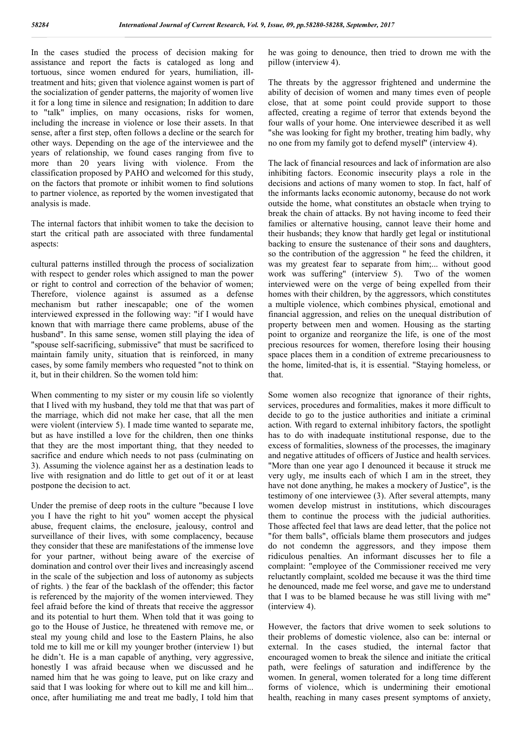In the cases studied the process of decision making for assistance and report the facts is cataloged as long and tortuous, since women endured for years, humiliation, illtreatment and hits; given that violence against women is part of the socialization of gender patterns, the majority of women live it for a long time in silence and resignation; In addition to dare to "talk" implies, on many occasions, risks for women, including the increase in violence or lose their assets. In that sense, after a first step, often follows a decline or the search for other ways. Depending on the age of the interviewee and the years of relationship, we found cases ranging from five to more than 20 years living with violence. From the classification proposed by PAHO and welcomed for this study, on the factors that promote or inhibit women to find solutions to partner violence, as reported by the women investigated that analysis is made.

The internal factors that inhibit women to take the decision to start the critical path are associated with three fundamental aspects:

cultural patterns instilled through the process of socialization with respect to gender roles which assigned to man the power or right to control and correction of the behavior of women; Therefore, violence against is assumed as a defense mechanism but rather inescapable; one of the women interviewed expressed in the following way: "if I would have known that with marriage there came problems, abuse of the husband". In this same sense, women still playing the idea of "spouse self-sacrificing, submissive" that must be sacrificed to maintain family unity, situation that is reinforced, in many cases, by some family members who requested "not to think on it, but in their children. So the women told him:

When commenting to my sister or my cousin life so violently that I lived with my husband, they told me that that was part of the marriage, which did not make her case, that all the men were violent (interview 5). I made time wanted to separate me, but as have instilled a love for the children, then one thinks that they are the most important thing, that they needed to sacrifice and endure which needs to not pass (culminating on 3). Assuming the violence against her as a destination leads to live with resignation and do little to get out of it or at least postpone the decision to act.

Under the premise of deep roots in the culture "because I love you I have the right to hit you" women accept the physical abuse, frequent claims, the enclosure, jealousy, control and surveillance of their lives, with some complacency, because they consider that these are manifestations of the immense love for your partner, without being aware of the exercise of domination and control over their lives and increasingly ascend in the scale of the subjection and loss of autonomy as subjects of rights. ) the fear of the backlash of the offender; this factor is referenced by the majority of the women interviewed. They feel afraid before the kind of threats that receive the aggressor and its potential to hurt them. When told that it was going to go to the House of Justice, he threatened with remove me, or steal my young child and lose to the Eastern Plains, he also told me to kill me or kill my younger brother (interview 1) but he didn't. He is a man capable of anything, very aggressive, honestly I was afraid because when we discussed and he named him that he was going to leave, put on like crazy and said that I was looking for where out to kill me and kill him... once, after humiliating me and treat me badly, I told him that

he was going to denounce, then tried to drown me with the pillow (interview 4).

The threats by the aggressor frightened and undermine the ability of decision of women and many times even of people close, that at some point could provide support to those affected, creating a regime of terror that extends beyond the four walls of your home. One interviewee described it as well "she was looking for fight my brother, treating him badly, why no one from my family got to defend myself" (interview 4).

The lack of financial resources and lack of information are also inhibiting factors. Economic insecurity plays a role in the decisions and actions of many women to stop. In fact, half of the informants lacks economic autonomy, because do not work outside the home, what constitutes an obstacle when trying to break the chain of attacks. By not having income to feed their families or alternative housing, cannot leave their home and their husbands; they know that hardly get legal or institutional backing to ensure the sustenance of their sons and daughters, so the contribution of the aggression " he feed the children, it was my greatest fear to separate from him;... without good work was suffering" (interview 5). Two of the women interviewed were on the verge of being expelled from their homes with their children, by the aggressors, which constitutes a multiple violence, which combines physical, emotional and financial aggression, and relies on the unequal distribution of property between men and women. Housing as the starting point to organize and reorganize the life, is one of the most precious resources for women, therefore losing their housing space places them in a condition of extreme precariousness to the home, limited-that is, it is essential. "Staying homeless, or that.

Some women also recognize that ignorance of their rights, services, procedures and formalities, makes it more difficult to decide to go to the justice authorities and initiate a criminal action. With regard to external inhibitory factors, the spotlight has to do with inadequate institutional response, due to the excess of formalities, slowness of the processes, the imaginary and negative attitudes of officers of Justice and health services. "More than one year ago I denounced it because it struck me very ugly, me insults each of which I am in the street, they have not done anything, he makes a mockery of Justice", is the testimony of one interviewee (3). After several attempts, many women develop mistrust in institutions, which discourages them to continue the process with the judicial authorities. Those affected feel that laws are dead letter, that the police not "for them balls", officials blame them prosecutors and judges do not condemn the aggressors, and they impose them ridiculous penalties. An informant discusses her to file a complaint: "employee of the Commissioner received me very reluctantly complaint, scolded me because it was the third time he denounced, made me feel worse, and gave me to understand that I was to be blamed because he was still living with me" (interview 4).

However, the factors that drive women to seek solutions to their problems of domestic violence, also can be: internal or external. In the cases studied, the internal factor that encouraged women to break the silence and initiate the critical path, were feelings of saturation and indifference by the women. In general, women tolerated for a long time different forms of violence, which is undermining their emotional health, reaching in many cases present symptoms of anxiety,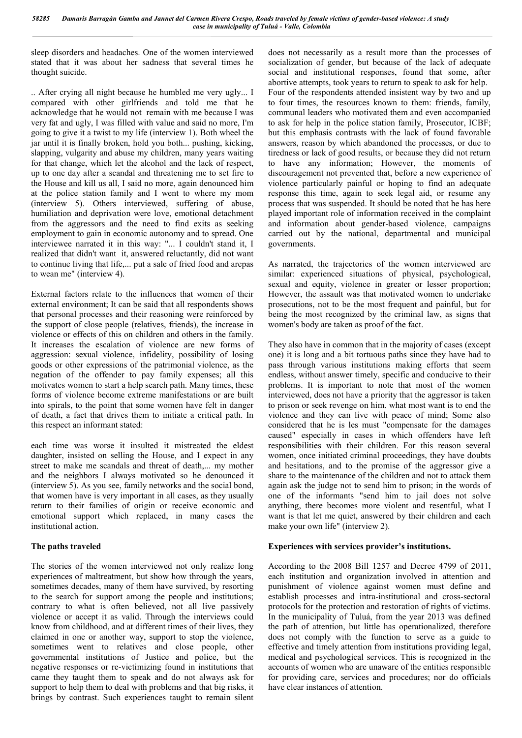sleep disorders and headaches. One of the women interviewed stated that it was about her sadness that several times he thought suicide.

.. After crying all night because he humbled me very ugly... I compared with other girlfriends and told me that he acknowledge that he would not remain with me because I was very fat and ugly, I was filled with value and said no more, I'm going to give it a twist to my life (interview 1). Both wheel the jar until it is finally broken, hold you both... pushing, kicking, slapping, vulgarity and abuse my children, many years waiting for that change, which let the alcohol and the lack of respect, up to one day after a scandal and threatening me to set fire to the House and kill us all, I said no more, again denounced him at the police station family and I went to where my mom (interview 5). Others interviewed, suffering of abuse, humiliation and deprivation were love, emotional detachment from the aggressors and the need to find exits as seeking employment to gain in economic autonomy and to spread. One interviewee narrated it in this way: "... I couldn't stand it, I realized that didn't want it, answered reluctantly, did not want to continue living that life,... put a sale of fried food and arepas to wean me" (interview 4).

External factors relate to the influences that women of their external environment; It can be said that all respondents shows that personal processes and their reasoning were reinforced by the support of close people (relatives, friends), the increase in violence or effects of this on children and others in the family. It increases the escalation of violence are new forms of aggression: sexual violence, infidelity, possibility of losing goods or other expressions of the patrimonial violence, as the negation of the offender to pay family expenses; all this motivates women to start a help search path. Many times, these forms of violence become extreme manifestations or are built into spirals, to the point that some women have felt in danger of death, a fact that drives them to initiate a critical path. In this respect an informant stated:

each time was worse it insulted it mistreated the eldest daughter, insisted on selling the House, and I expect in any street to make me scandals and threat of death,... my mother and the neighbors I always motivated so he denounced it (interview 5). As you see, family networks and the social bond, that women have is very important in all cases, as they usually return to their families of origin or receive economic and emotional support which replaced, in many cases the institutional action.

#### **The paths traveled**

The stories of the women interviewed not only realize long experiences of maltreatment, but show how through the years, sometimes decades, many of them have survived, by resorting to the search for support among the people and institutions; contrary to what is often believed, not all live passively violence or accept it as valid. Through the interviews could know from childhood, and at different times of their lives, they claimed in one or another way, support to stop the violence, sometimes went to relatives and close people, other governmental institutions of Justice and police, but the negative responses or re-victimizing found in institutions that came they taught them to speak and do not always ask for support to help them to deal with problems and that big risks, it brings by contrast. Such experiences taught to remain silent

does not necessarily as a result more than the processes of socialization of gender, but because of the lack of adequate social and institutional responses, found that some, after abortive attempts, took years to return to speak to ask for help. Four of the respondents attended insistent way by two and up to four times, the resources known to them: friends, family, communal leaders who motivated them and even accompanied to ask for help in the police station family, Prosecutor, ICBF; but this emphasis contrasts with the lack of found favorable answers, reason by which abandoned the processes, or due to tiredness or lack of good results, or because they did not return to have any information; However, the moments of discouragement not prevented that, before a new experience of violence particularly painful or hoping to find an adequate response this time, again to seek legal aid, or resume any process that was suspended. It should be noted that he has here played important role of information received in the complaint and information about gender-based violence, campaigns carried out by the national, departmental and municipal governments.

As narrated, the trajectories of the women interviewed are similar: experienced situations of physical, psychological, sexual and equity, violence in greater or lesser proportion; However, the assault was that motivated women to undertake prosecutions, not to be the most frequent and painful, but for being the most recognized by the criminal law, as signs that women's body are taken as proof of the fact.

They also have in common that in the majority of cases (except one) it is long and a bit tortuous paths since they have had to pass through various institutions making efforts that seem endless, without answer timely, specific and conducive to their problems. It is important to note that most of the women interviewed, does not have a priority that the aggressor is taken to prison or seek revenge on him. what most want is to end the violence and they can live with peace of mind; Some also considered that he is les must "compensate for the damages caused" especially in cases in which offenders have left responsibilities with their children. For this reason several women, once initiated criminal proceedings, they have doubts and hesitations, and to the promise of the aggressor give a share to the maintenance of the children and not to attack them again ask the judge not to send him to prison; in the words of one of the informants "send him to jail does not solve anything, there becomes more violent and resentful, what I want is that let me quiet, answered by their children and each make your own life" (interview 2).

#### **Experiences with services provider's institutions.**

According to the 2008 Bill 1257 and Decree 4799 of 2011, each institution and organization involved in attention and punishment of violence against women must define and establish processes and intra-institutional and cross-sectoral protocols for the protection and restoration of rights of victims. In the municipality of Tuluá, from the year 2013 was defined the path of attention, but little has operationalized, therefore does not comply with the function to serve as a guide to effective and timely attention from institutions providing legal, medical and psychological services. This is recognized in the accounts of women who are unaware of the entities responsible for providing care, services and procedures; nor do officials have clear instances of attention.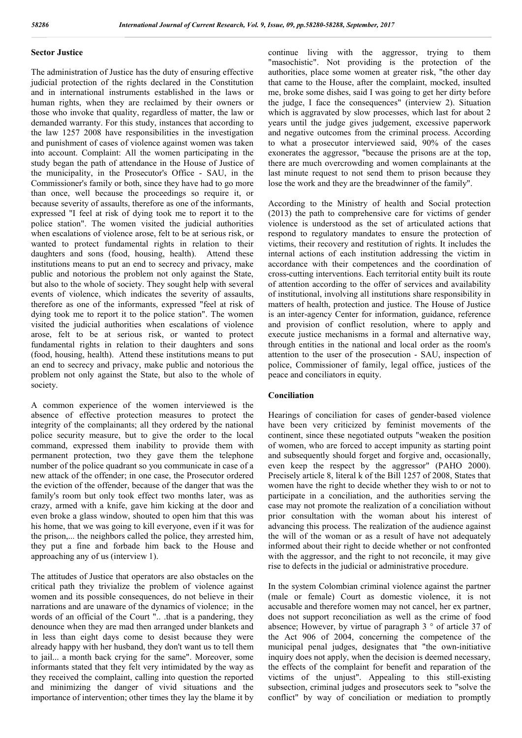#### **Sector Justice**

The administration of Justice has the duty of ensuring effective judicial protection of the rights declared in the Constitution and in international instruments established in the laws or human rights, when they are reclaimed by their owners or those who invoke that quality, regardless of matter, the law or demanded warranty. For this study, instances that according to the law 1257 2008 have responsibilities in the investigation and punishment of cases of violence against women was taken into account. Complaint: All the women participating in the study began the path of attendance in the House of Justice of the municipality, in the Prosecutor's Office - SAU, in the Commissioner's family or both, since they have had to go more than once, well because the proceedings so require it, or because severity of assaults, therefore as one of the informants, expressed "I feel at risk of dying took me to report it to the police station". The women visited the judicial authorities when escalations of violence arose, felt to be at serious risk, or wanted to protect fundamental rights in relation to their daughters and sons (food, housing, health). Attend these institutions means to put an end to secrecy and privacy, make public and notorious the problem not only against the State, but also to the whole of society. They sought help with several events of violence, which indicates the severity of assaults, therefore as one of the informants, expressed "feel at risk of dying took me to report it to the police station". The women visited the judicial authorities when escalations of violence arose, felt to be at serious risk, or wanted to protect fundamental rights in relation to their daughters and sons (food, housing, health). Attend these institutions means to put an end to secrecy and privacy, make public and notorious the problem not only against the State, but also to the whole of society.

A common experience of the women interviewed is the absence of effective protection measures to protect the integrity of the complainants; all they ordered by the national police security measure, but to give the order to the local command, expressed them inability to provide them with permanent protection, two they gave them the telephone number of the police quadrant so you communicate in case of a new attack of the offender; in one case, the Prosecutor ordered the eviction of the offender, because of the danger that was the family's room but only took effect two months later, was as crazy, armed with a knife, gave him kicking at the door and even broke a glass window, shouted to open him that this was his home, that we was going to kill everyone, even if it was for the prison,... the neighbors called the police, they arrested him, they put a fine and forbade him back to the House and approaching any of us (interview 1).

The attitudes of Justice that operators are also obstacles on the critical path they trivialize the problem of violence against women and its possible consequences, do not believe in their narrations and are unaware of the dynamics of violence; in the words of an official of the Court ".. .that is a pandering, they denounce when they are mad then arranged under blankets and in less than eight days come to desist because they were already happy with her husband, they don't want us to tell them to jail... a month back crying for the same". Moreover, some informants stated that they felt very intimidated by the way as they received the complaint, calling into question the reported and minimizing the danger of vivid situations and the importance of intervention; other times they lay the blame it by

continue living with the aggressor, trying to them "masochistic". Not providing is the protection of the authorities, place some women at greater risk, "the other day that came to the House, after the complaint, mocked, insulted me, broke some dishes, said I was going to get her dirty before the judge, I face the consequences" (interview 2). Situation which is aggravated by slow processes, which last for about 2 years until the judge gives judgement, excessive paperwork and negative outcomes from the criminal process. According to what a prosecutor interviewed said, 90% of the cases exonerates the aggressor, "because the prisons are at the top, there are much overcrowding and women complainants at the last minute request to not send them to prison because they lose the work and they are the breadwinner of the family".

According to the Ministry of health and Social protection (2013) the path to comprehensive care for victims of gender violence is understood as the set of articulated actions that respond to regulatory mandates to ensure the protection of victims, their recovery and restitution of rights. It includes the internal actions of each institution addressing the victim in accordance with their competences and the coordination of cross-cutting interventions. Each territorial entity built its route of attention according to the offer of services and availability of institutional, involving all institutions share responsibility in matters of health, protection and justice. The House of Justice is an inter-agency Center for information, guidance, reference and provision of conflict resolution, where to apply and execute justice mechanisms in a formal and alternative way, through entities in the national and local order as the room's attention to the user of the prosecution - SAU, inspection of police, Commissioner of family, legal office, justices of the peace and conciliators in equity.

#### **Conciliation**

Hearings of conciliation for cases of gender-based violence have been very criticized by feminist movements of the continent, since these negotiated outputs "weaken the position of women, who are forced to accept impunity as starting point and subsequently should forget and forgive and, occasionally, even keep the respect by the aggressor" (PAHO 2000). Precisely article 8, literal k of the Bill 1257 of 2008, States that women have the right to decide whether they wish to or not to participate in a conciliation, and the authorities serving the case may not promote the realization of a conciliation without prior consultation with the woman about his interest of advancing this process. The realization of the audience against the will of the woman or as a result of have not adequately informed about their right to decide whether or not confronted with the aggressor, and the right to not reconcile, it may give rise to defects in the judicial or administrative procedure.

In the system Colombian criminal violence against the partner (male or female) Court as domestic violence, it is not accusable and therefore women may not cancel, her ex partner, does not support reconciliation as well as the crime of food absence; However, by virtue of paragraph 3 ° of article 37 of the Act 906 of 2004, concerning the competence of the municipal penal judges, designates that "the own-initiative inquiry does not apply, when the decision is deemed necessary, the effects of the complaint for benefit and reparation of the victims of the unjust". Appealing to this still-existing subsection, criminal judges and prosecutors seek to "solve the conflict" by way of conciliation or mediation to promptly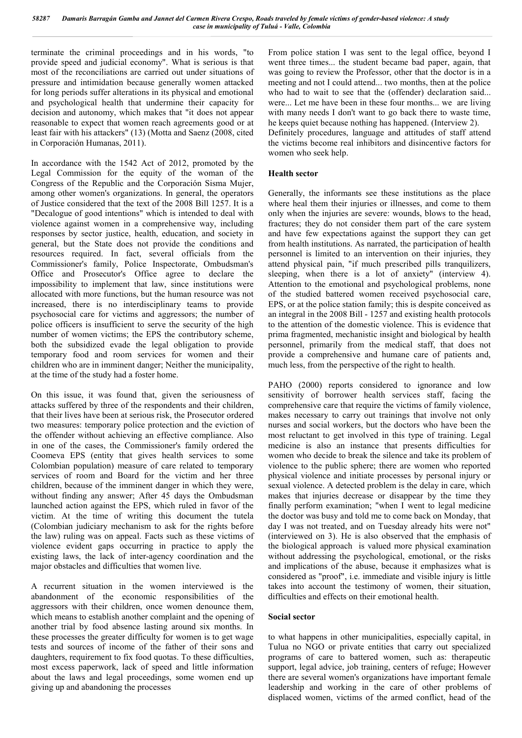terminate the criminal proceedings and in his words, "to provide speed and judicial economy". What is serious is that most of the reconciliations are carried out under situations of pressure and intimidation because generally women attacked for long periods suffer alterations in its physical and emotional and psychological health that undermine their capacity for decision and autonomy, which makes that "it does not appear reasonable to expect that women reach agreements good or at least fair with his attackers" (13) (Motta and Saenz (2008, cited in Corporación Humanas, 2011).

In accordance with the 1542 Act of 2012, promoted by the Legal Commission for the equity of the woman of the Congress of the Republic and the Corporación Sisma Mujer, among other women's organizations. In general, the operators of Justice considered that the text of the 2008 Bill 1257. It is a "Decalogue of good intentions" which is intended to deal with violence against women in a comprehensive way, including responses by sector justice, health, education, and society in general, but the State does not provide the conditions and resources required. In fact, several officials from the Commissioner's family, Police Inspectorate, Ombudsman's Office and Prosecutor's Office agree to declare the impossibility to implement that law, since institutions were allocated with more functions, but the human resource was not increased, there is no interdisciplinary teams to provide psychosocial care for victims and aggressors; the number of police officers is insufficient to serve the security of the high number of women victims; the EPS the contributory scheme, both the subsidized evade the legal obligation to provide temporary food and room services for women and their children who are in imminent danger; Neither the municipality, at the time of the study had a foster home.

On this issue, it was found that, given the seriousness of attacks suffered by three of the respondents and their children, that their lives have been at serious risk, the Prosecutor ordered two measures: temporary police protection and the eviction of the offender without achieving an effective compliance. Also in one of the cases, the Commissioner's family ordered the Coomeva EPS (entity that gives health services to some Colombian population) measure of care related to temporary services of room and Board for the victim and her three children, because of the imminent danger in which they were, without finding any answer; After 45 days the Ombudsman launched action against the EPS, which ruled in favor of the victim. At the time of writing this document the tutela (Colombian judiciary mechanism to ask for the rights before the law) ruling was on appeal. Facts such as these victims of violence evident gaps occurring in practice to apply the existing laws, the lack of inter-agency coordination and the major obstacles and difficulties that women live.

A recurrent situation in the women interviewed is the abandonment of the economic responsibilities of the aggressors with their children, once women denounce them, which means to establish another complaint and the opening of another trial by food absence lasting around six months. In these processes the greater difficulty for women is to get wage tests and sources of income of the father of their sons and daughters, requirement to fix food quotas. To these difficulties, most excess paperwork, lack of speed and little information about the laws and legal proceedings, some women end up giving up and abandoning the processes

From police station I was sent to the legal office, beyond I went three times... the student became bad paper, again, that was going to review the Professor, other that the doctor is in a meeting and not I could attend... two months, then at the police who had to wait to see that the (offender) declaration said... were... Let me have been in these four months... we are living with many needs I don't want to go back there to waste time, he keeps quiet because nothing has happened. (Interview 2). Definitely procedures, language and attitudes of staff attend the victims become real inhibitors and disincentive factors for women who seek help.

#### **Health sector**

Generally, the informants see these institutions as the place where heal them their injuries or illnesses, and come to them only when the injuries are severe: wounds, blows to the head, fractures; they do not consider them part of the care system and have few expectations against the support they can get from health institutions. As narrated, the participation of health personnel is limited to an intervention on their injuries, they attend physical pain, "if much prescribed pills tranquilizers, sleeping, when there is a lot of anxiety" (interview 4). Attention to the emotional and psychological problems, none of the studied battered women received psychosocial care, EPS, or at the police station family; this is despite conceived as an integral in the 2008 Bill - 1257 and existing health protocols to the attention of the domestic violence. This is evidence that prima fragmented, mechanistic insight and biological by health personnel, primarily from the medical staff, that does not provide a comprehensive and humane care of patients and, much less, from the perspective of the right to health.

PAHO (2000) reports considered to ignorance and low sensitivity of borrower health services staff, facing the comprehensive care that require the victims of family violence, makes necessary to carry out trainings that involve not only nurses and social workers, but the doctors who have been the most reluctant to get involved in this type of training. Legal medicine is also an instance that presents difficulties for women who decide to break the silence and take its problem of violence to the public sphere; there are women who reported physical violence and initiate processes by personal injury or sexual violence. A detected problem is the delay in care, which makes that injuries decrease or disappear by the time they finally perform examination; "when I went to legal medicine the doctor was busy and told me to come back on Monday, that day I was not treated, and on Tuesday already hits were not" (interviewed on 3). He is also observed that the emphasis of the biological approach is valued more physical examination without addressing the psychological, emotional, or the risks and implications of the abuse, because it emphasizes what is considered as "proof", i.e. immediate and visible injury is little takes into account the testimony of women, their situation, difficulties and effects on their emotional health.

#### **Social sector**

to what happens in other municipalities, especially capital, in Tulua no NGO or private entities that carry out specialized programs of care to battered women, such as: therapeutic support, legal advice, job training, centers of refuge; However there are several women's organizations have important female leadership and working in the care of other problems of displaced women, victims of the armed conflict, head of the